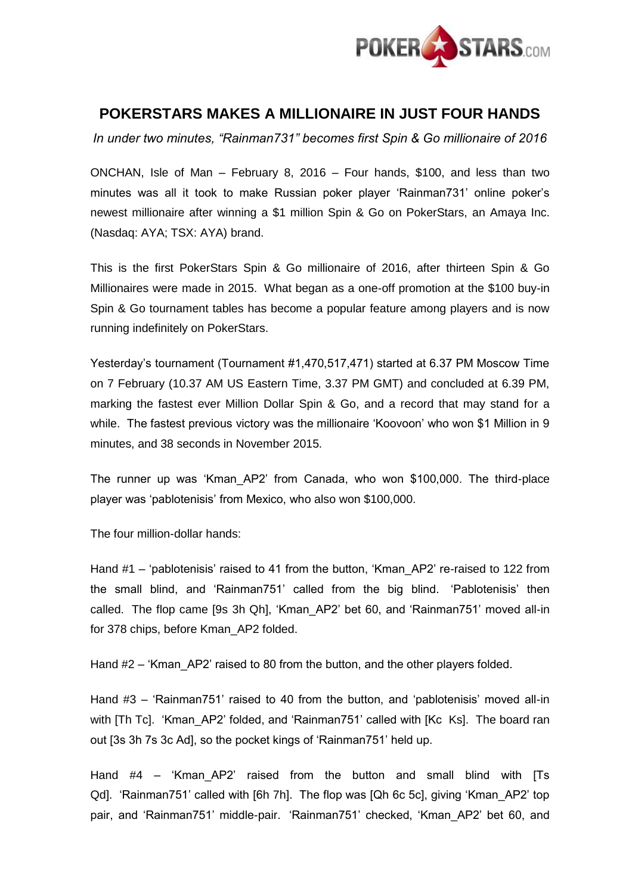

## **POKERSTARS MAKES A MILLIONAIRE IN JUST FOUR HANDS**

*In under two minutes, "Rainman731" becomes first Spin & Go millionaire of 2016*

ONCHAN, Isle of Man – February 8, 2016 – Four hands, \$100, and less than two minutes was all it took to make Russian poker player 'Rainman731' online poker's newest millionaire after winning a \$1 million Spin & Go on PokerStars, an Amaya Inc. (Nasdaq: AYA; TSX: AYA) brand.

This is the first PokerStars Spin & Go millionaire of 2016, after thirteen Spin & Go Millionaires were made in 2015. What began as a one-off promotion at the \$100 buy-in Spin & Go tournament tables has become a popular feature among players and is now running indefinitely on PokerStars.

Yesterday's tournament (Tournament #1,470,517,471) started at 6.37 PM Moscow Time on 7 February (10.37 AM US Eastern Time, 3.37 PM GMT) and concluded at 6.39 PM, marking the fastest ever Million Dollar Spin & Go, and a record that may stand for a while. The fastest previous victory was the millionaire 'Koovoon' who won \$1 Million in 9 minutes, and 38 seconds in November 2015.

The runner up was 'Kman\_AP2' from Canada, who won \$100,000. The third-place player was 'pablotenisis' from Mexico, who also won \$100,000.

The four million-dollar hands:

Hand #1 – 'pablotenisis' raised to 41 from the button, 'Kman\_AP2' re-raised to 122 from the small blind, and 'Rainman751' called from the big blind. 'Pablotenisis' then called. The flop came [9s 3h Qh], 'Kman\_AP2' bet 60, and 'Rainman751' moved all-in for 378 chips, before Kman\_AP2 folded.

Hand #2 – 'Kman\_AP2' raised to 80 from the button, and the other players folded.

Hand #3 – 'Rainman751' raised to 40 from the button, and 'pablotenisis' moved all-in with [Th Tc]. 'Kman AP2' folded, and 'Rainman751' called with [Kc Ks]. The board ran out [3s 3h 7s 3c Ad], so the pocket kings of 'Rainman751' held up.

Hand #4 – 'Kman\_AP2' raised from the button and small blind with [Ts Qd]. 'Rainman751' called with [6h 7h]. The flop was [Qh 6c 5c], giving 'Kman\_AP2' top pair, and 'Rainman751' middle-pair. 'Rainman751' checked, 'Kman\_AP2' bet 60, and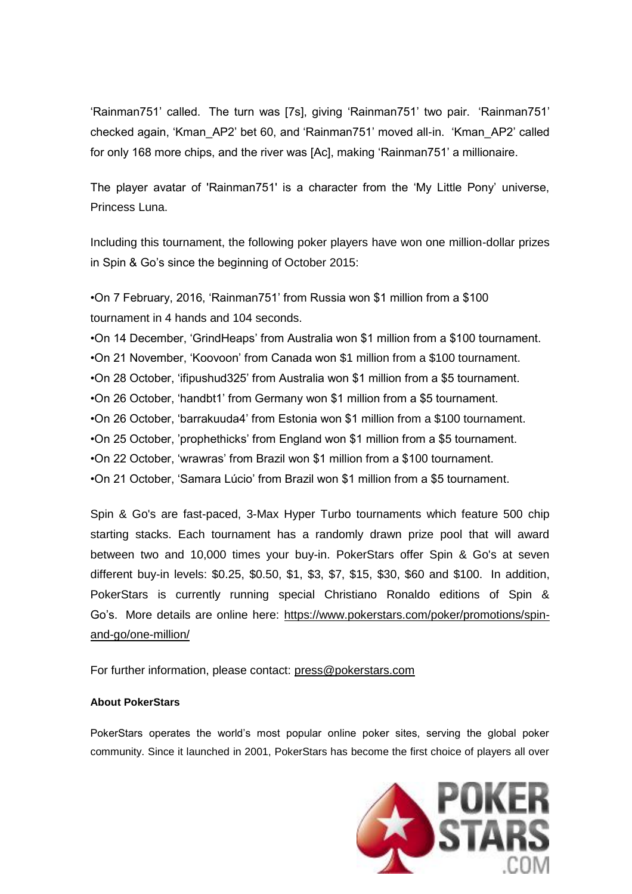'Rainman751' called. The turn was [7s], giving 'Rainman751' two pair. 'Rainman751' checked again, 'Kman\_AP2' bet 60, and 'Rainman751' moved all-in. 'Kman\_AP2' called for only 168 more chips, and the river was [Ac], making 'Rainman751' a millionaire.

The player avatar of 'Rainman751' is a character from the 'My Little Pony' universe, Princess Luna.

Including this tournament, the following poker players have won one million-dollar prizes in Spin & Go's since the beginning of October 2015:

•On 7 February, 2016, 'Rainman751' from Russia won \$1 million from a \$100 tournament in 4 hands and 104 seconds.

•On 14 December, 'GrindHeaps' from Australia won \$1 million from a \$100 tournament.

•On 21 November, 'Koovoon' from Canada won \$1 million from a \$100 tournament.

•On 28 October, 'ifipushud325' from Australia won \$1 million from a \$5 tournament.

•On 26 October, 'handbt1' from Germany won \$1 million from a \$5 tournament.

•On 26 October, 'barrakuuda4' from Estonia won \$1 million from a \$100 tournament.

•On 25 October, 'prophethicks' from England won \$1 million from a \$5 tournament.

•On 22 October, 'wrawras' from Brazil won \$1 million from a \$100 tournament.

•On 21 October, 'Samara Lúcio' from Brazil won \$1 million from a \$5 tournament.

Spin & Go's are fast-paced, 3-Max Hyper Turbo tournaments which feature 500 chip starting stacks. Each tournament has a randomly drawn prize pool that will award between two and 10,000 times your buy-in. PokerStars offer Spin & Go's at seven different buy-in levels: \$0.25, \$0.50, \$1, \$3, \$7, \$15, \$30, \$60 and \$100. In addition, PokerStars is currently running special Christiano Ronaldo editions of Spin & Go's. More details are online here: [https://www.pokerstars.com/poker/promotions/spin](https://www.pokerstars.com/poker/promotions/spin-and-go/one-million/)[and-go/one-million/](https://www.pokerstars.com/poker/promotions/spin-and-go/one-million/)

For further information, please contact: [press@pokerstars.com](mailto:press@pokerstars.com)

## **About PokerStars**

PokerStars operates the world's most popular online poker sites, serving the global poker community. Since it launched in 2001, PokerStars has become the first choice of players all over